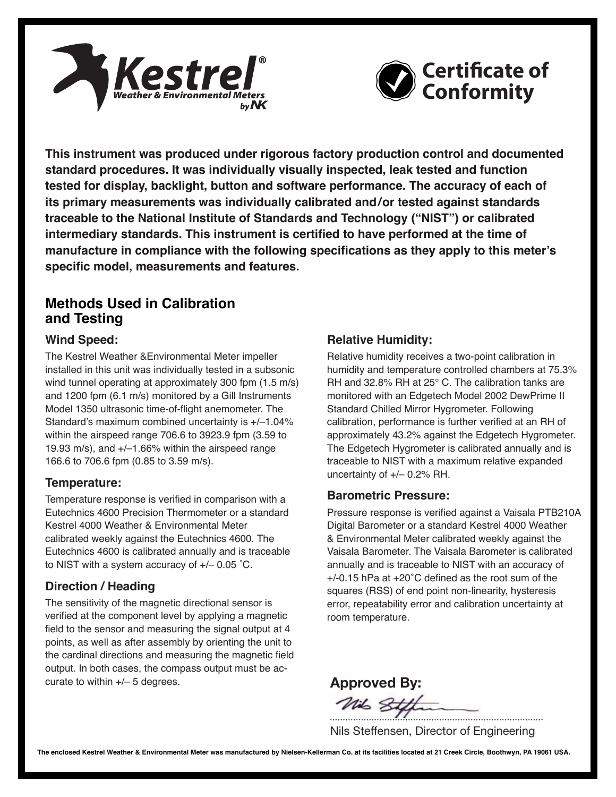



**This instrument was produced under rigorous factory production control and documented standard procedures. It was individually visually inspected, leak tested and function tested for display, backlight, button and software performance. The accuracy of each of its primary measurements was individually calibrated and/or tested against standards traceable to the National Institute of Standards and Technology ("NIST") or calibrated intermediary standards. This instrument is certified to have performed at the time of manufacture in compliance with the following specifications as they apply to this meter's specific model, measurements and features.**

# **Methods Used in Calibration and Testing**

## **Wind Speed:**

The Kestrel Weather &Environmental Meter impeller installed in this unit was individually tested in a subsonic wind tunnel operating at approximately 300 fpm (1.5 m/s) and 1200 fpm (6.1 m/s) monitored by a Gill Instruments Model 1350 ultrasonic time-of-flight anemometer. The Standard's maximum combined uncertainty is +/–1.04% within the airspeed range 706.6 to 3923.9 fpm (3.59 to 19.93 m/s), and +/–1.66% within the airspeed range 166.6 to 706.6 fpm (0.85 to 3.59 m/s).

### **Temperature:**

Temperature response is verified in comparison with a Eutechnics 4600 Precision Thermometer or a standard Kestrel 4000 Weather & Environmental Meter calibrated weekly against the Eutechnics 4600. The Eutechnics 4600 is calibrated annually and is traceable to NIST with a system accuracy of +/– 0.05 ˚C.

# **Direction / Heading**

The sensitivity of the magnetic directional sensor is verified at the component level by applying a magnetic field to the sensor and measuring the signal output at 4 points, as well as after assembly by orienting the unit to the cardinal directions and measuring the magnetic field output. In both cases, the compass output must be accurate to within  $+/-$  5 degrees.

# **Relative Humidity:**

Relative humidity receives a two-point calibration in humidity and temperature controlled chambers at 75.3% RH and 32.8% RH at 25° C. The calibration tanks are monitored with an Edgetech Model 2002 DewPrime II Standard Chilled Mirror Hygrometer. Following calibration, performance is further verified at an RH of approximately 43.2% against the Edgetech Hygrometer. The Edgetech Hygrometer is calibrated annually and is traceable to NIST with a maximum relative expanded uncertainty of +/– 0.2% RH.

### **Barometric Pressure:**

Pressure response is verified against a Vaisala PTB210A Digital Barometer or a standard Kestrel 4000 Weather & Environmental Meter calibrated weekly against the Vaisala Barometer. The Vaisala Barometer is calibrated annually and is traceable to NIST with an accuracy of +/-0.15 hPa at +20˚C defined as the root sum of the squares (RSS) of end point non-linearity, hysteresis error, repeatability error and calibration uncertainty at room temperature.

Approved By: Mil 8t

Nils Steffensen, Director of Engineering

**The enclosed Kestrel Weather & Environmental Meter was manufactured by Nielsen-Kellerman Co. at its facilities located at 21 Creek Circle, Boothwyn, PA 19061 USA.**